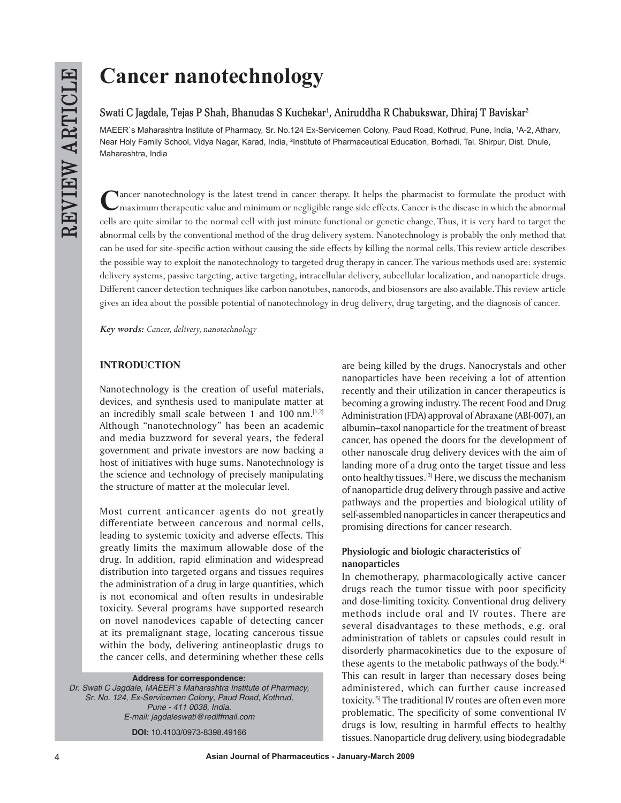# **Cancer nanotechnology**

# **Swati C Jagdale, Tejas P Shah, Bhanudas S Kuchekar1 , Aniruddha R Chabukswar, Dhiraj T Baviskar2**

MAEER`s Maharashtra Institute of Pharmacy, Sr. No.124 Ex-Servicemen Colony, Paud Road, Kothrud, Pune, India, <sup>1</sup> A-2, Atharv, Near Holy Family School, Vidya Nagar, Karad, India, <sup>2</sup>Institute of Pharmaceutical Education, Borhadi, Tal. Shirpur, Dist. Dhule, Maharashtra, India

**C**ancer nanotechnology is the latest trend in cancer therapy. It helps the pharmacist to formulate the product with maximum therapeutic value and minimum or negligible range side effects. Cancer is the disease in which the abnormal cells are quite similar to the normal cell with just minute functional or genetic change. Thus, it is very hard to target the abnormal cells by the conventional method of the drug delivery system. Nanotechnology is probably the only method that can be used for site-specific action without causing the side effects by killing the normal cells. This review article describes the possible way to exploit the nanotechnology to targeted drug therapy in cancer. The various methods used are: systemic delivery systems, passive targeting, active targeting, intracellular delivery, subcellular localization, and nanoparticle drugs. Different cancer detection techniques like carbon nanotubes, nanorods, and biosensors are also available. This review article gives an idea about the possible potential of nanotechnology in drug delivery, drug targeting, and the diagnosis of cancer.

*Key words: Cancer, delivery, nanotechnology*

# **INTRODUCTION**

Nanotechnology is the creation of useful materials, devices, and synthesis used to manipulate matter at an incredibly small scale between 1 and 100 nm. $[1,2]$ Although "nanotechnology" has been an academic and media buzzword for several years, the federal government and private investors are now backing a host of initiatives with huge sums. Nanotechnology is the science and technology of precisely manipulating the structure of matter at the molecular level.

Most current anticancer agents do not greatly differentiate between cancerous and normal cells, leading to systemic toxicity and adverse effects. This greatly limits the maximum allowable dose of the drug. In addition, rapid elimination and widespread distribution into targeted organs and tissues requires the administration of a drug in large quantities, which is not economical and often results in undesirable toxicity. Several programs have supported research on novel nanodevices capable of detecting cancer at its premalignant stage, locating cancerous tissue within the body, delivering antineoplastic drugs to the cancer cells, and determining whether these cells

**Address for correspondence:** *Dr. Swati C Jagdale, MAEER`s Maharashtra Institute of Pharmacy, Sr. No. 124, Ex-Servicemen Colony, Paud Road, Kothrud, Pune - 411 0038, India. E-mail: jagdaleswati@rediffmail.com* **DOI:** 10.4103/0973-8398.49166

are being killed by the drugs. Nanocrystals and other nanoparticles have been receiving a lot of attention recently and their utilization in cancer therapeutics is becoming a growing industry. The recent Food and Drug Administration (FDA) approval of Abraxane (ABI-007), an albumin–taxol nanoparticle for the treatment of breast cancer, has opened the doors for the development of other nanoscale drug delivery devices with the aim of landing more of a drug onto the target tissue and less onto healthy tissues.<sup>[3]</sup> Here, we discuss the mechanism of nanoparticle drug delivery through passive and active pathways and the properties and biological utility of self-assembled nanoparticles in cancer therapeutics and promising directions for cancer research.

## **Physiologic and biologic characteristics of nanoparticles**

In chemotherapy, pharmacologically active cancer drugs reach the tumor tissue with poor specificity and dose-limiting toxicity. Conventional drug delivery methods include oral and IV routes. There are several disadvantages to these methods, e.g. oral administration of tablets or capsules could result in disorderly pharmacokinetics due to the exposure of these agents to the metabolic pathways of the body. $[4]$ This can result in larger than necessary doses being administered, which can further cause increased toxicity.[5] The traditional IV routes are often even more problematic. The specificity of some conventional IV drugs is low, resulting in harmful effects to healthy tissues. Nanoparticle drug delivery, using biodegradable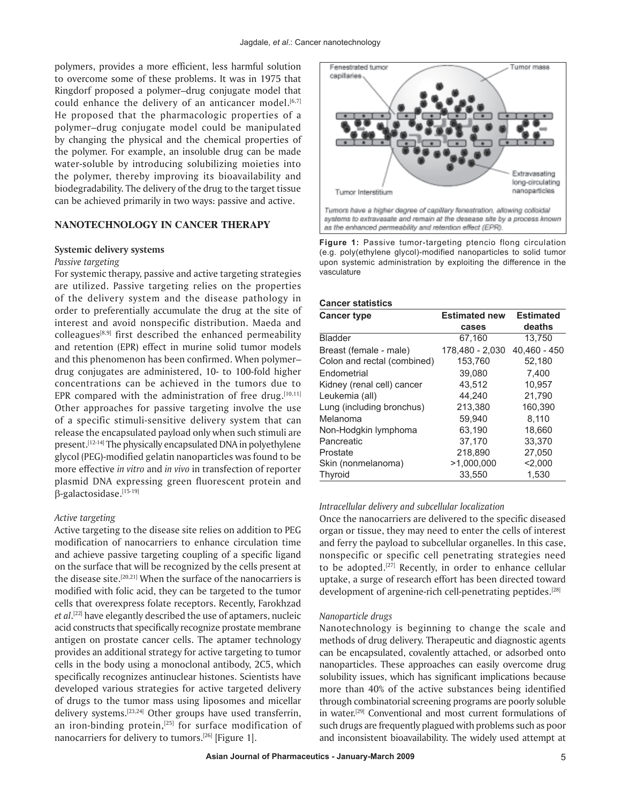polymers, provides a more efficient, less harmful solution to overcome some of these problems. It was in 1975 that Ringdorf proposed a polymer–drug conjugate model that could enhance the delivery of an anticancer model. $[6,7]$ He proposed that the pharmacologic properties of a polymer–drug conjugate model could be manipulated by changing the physical and the chemical properties of the polymer. For example, an insoluble drug can be made water-soluble by introducing solubilizing moieties into the polymer, thereby improving its bioavailability and biodegradability. The delivery of the drug to the target tissue can be achieved primarily in two ways: passive and active.

## **NANOTECHNOLOGY IN CANCER THERAPY**

#### **Systemic delivery systems**

#### *Passive targeting*

For systemic therapy, passive and active targeting strategies are utilized. Passive targeting relies on the properties of the delivery system and the disease pathology in order to preferentially accumulate the drug at the site of interest and avoid nonspecific distribution. Maeda and colleagues<sup>[8,9]</sup> first described the enhanced permeability and retention (EPR) effect in murine solid tumor models and this phenomenon has been confirmed. When polymer– drug conjugates are administered, 10- to 100-fold higher concentrations can be achieved in the tumors due to EPR compared with the administration of free drug. $[10,11]$ Other approaches for passive targeting involve the use of a specific stimuli-sensitive delivery system that can release the encapsulated payload only when such stimuli are present.[12-14] The physically encapsulated DNA in polyethylene glycol (PEG)-modified gelatin nanoparticles was found to be more effective *in vitro* and *in vivo* in transfection of reporter plasmid DNA expressing green fluorescent protein and  $\beta$ -galactosidase.[15-19]

## *Active targeting*

Active targeting to the disease site relies on addition to PEG modification of nanocarriers to enhance circulation time and achieve passive targeting coupling of a specific ligand on the surface that will be recognized by the cells present at the disease site.<sup>[20,21]</sup> When the surface of the nanocarriers is modified with folic acid, they can be targeted to the tumor cells that overexpress folate receptors. Recently, Farokhzad *et al*. [22] have elegantly described the use of aptamers, nucleic acid constructs that specifically recognize prostate membrane antigen on prostate cancer cells. The aptamer technology provides an additional strategy for active targeting to tumor cells in the body using a monoclonal antibody, 2C5, which specifically recognizes antinuclear histones. Scientists have developed various strategies for active targeted delivery of drugs to the tumor mass using liposomes and micellar delivery systems.[23,24] Other groups have used transferrin, an iron-binding protein, $[25]$  for surface modification of nanocarriers for delivery to tumors.<sup>[26]</sup> [Figure 1].



**Figure 1:** Passive tumor-targeting ptencio flong circulation (e.g. poly(ethylene glycol)-modified nanoparticles to solid tumor upon systemic administration by exploiting the difference in the vasculature

| <b>Cancer statistics</b>    |                      |                  |
|-----------------------------|----------------------|------------------|
| <b>Cancer type</b>          | <b>Estimated new</b> | <b>Estimated</b> |
|                             | cases                | deaths           |
| <b>Bladder</b>              | 67.160               | 13.750           |
| Breast (female - male)      | 178,480 - 2,030      | 40,460 - 450     |
| Colon and rectal (combined) | 153,760              | 52,180           |
| Endometrial                 | 39.080               | 7,400            |
| Kidney (renal cell) cancer  | 43.512               | 10,957           |
| Leukemia (all)              | 44.240               | 21,790           |
| Lung (including bronchus)   | 213,380              | 160,390          |
| Melanoma                    | 59.940               | 8,110            |
| Non-Hodgkin lymphoma        | 63,190               | 18,660           |
| Pancreatic                  | 37,170               | 33,370           |
| Prostate                    | 218,890              | 27,050           |
| Skin (nonmelanoma)          | >1,000,000           | 2,000            |
| Thyroid                     | 33,550               | 1,530            |

#### *Intracellular delivery and subcellular localization*

Once the nanocarriers are delivered to the specific diseased organ or tissue, they may need to enter the cells of interest and ferry the payload to subcellular organelles. In this case, nonspecific or specific cell penetrating strategies need to be adopted.<sup>[27]</sup> Recently, in order to enhance cellular uptake, a surge of research effort has been directed toward development of argenine-rich cell-penetrating peptides.[28]

#### *Nanoparticle drugs*

Nanotechnology is beginning to change the scale and methods of drug delivery. Therapeutic and diagnostic agents can be encapsulated, covalently attached, or adsorbed onto nanoparticles. These approaches can easily overcome drug solubility issues, which has significant implications because more than 40% of the active substances being identified through combinatorial screening programs are poorly soluble in water.[29] Conventional and most current formulations of such drugs are frequently plagued with problems such as poor and inconsistent bioavailability. The widely used attempt at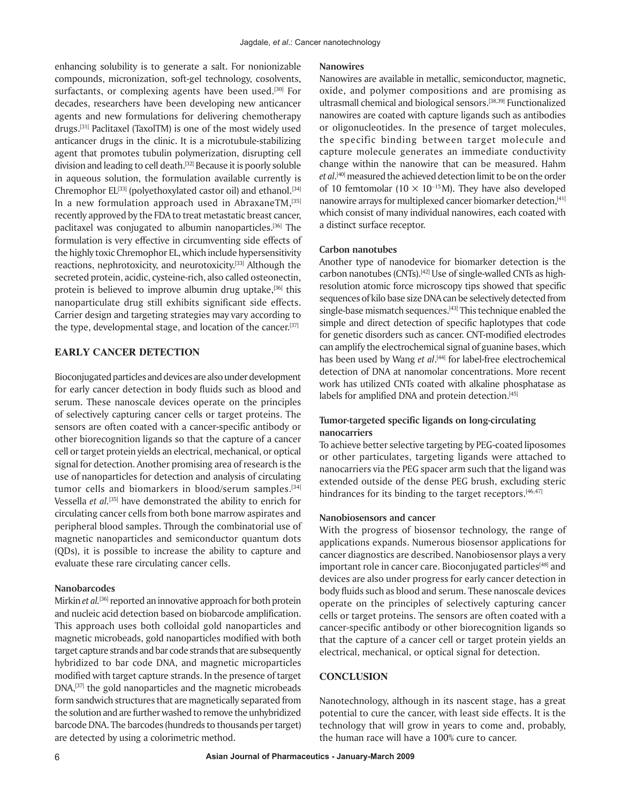enhancing solubility is to generate a salt. For nonionizable compounds, micronization, soft-gel technology, cosolvents, surfactants, or complexing agents have been used.<sup>[30]</sup> For decades, researchers have been developing new anticancer agents and new formulations for delivering chemotherapy drugs.[31] Paclitaxel (TaxolTM) is one of the most widely used anticancer drugs in the clinic. It is a microtubule-stabilizing agent that promotes tubulin polymerization, disrupting cell division and leading to cell death.[32] Because it is poorly soluble in aqueous solution, the formulation available currently is Chremophor  $EL^{[33]}$  (polyethoxylated castor oil) and ethanol.<sup>[34]</sup> In a new formulation approach used in AbraxaneTM, $^{[35]}$ recently approved by the FDA to treat metastatic breast cancer, paclitaxel was conjugated to albumin nanoparticles.<sup>[36]</sup> The formulation is very effective in circumventing side effects of the highly toxic Chremophor EL, which include hypersensitivity reactions, nephrotoxicity, and neurotoxicity.[33] Although the secreted protein, acidic, cysteine-rich, also called osteonectin, protein is believed to improve albumin drug uptake,<sup>[36]</sup> this nanoparticulate drug still exhibits significant side effects. Carrier design and targeting strategies may vary according to the type, developmental stage, and location of the cancer.[37]

## **EARLY CANCER DETECTION**

Bioconjugated particles and devices are also under development for early cancer detection in body fluids such as blood and serum. These nanoscale devices operate on the principles of selectively capturing cancer cells or target proteins. The sensors are often coated with a cancer-specific antibody or other biorecognition ligands so that the capture of a cancer cell or target protein yields an electrical, mechanical, or optical signal for detection. Another promising area of research is the use of nanoparticles for detection and analysis of circulating tumor cells and biomarkers in blood/serum samples.<sup>[34]</sup> Vessella *et al.*[35] have demonstrated the ability to enrich for circulating cancer cells from both bone marrow aspirates and peripheral blood samples. Through the combinatorial use of magnetic nanoparticles and semiconductor quantum dots (QDs), it is possible to increase the ability to capture and evaluate these rare circulating cancer cells.

#### **Nanobarcodes**

Mirkin *et al.*[36] reported an innovative approach for both protein and nucleic acid detection based on biobarcode amplification. This approach uses both colloidal gold nanoparticles and magnetic microbeads, gold nanoparticles modified with both target capture strands and bar code strands that are subsequently hybridized to bar code DNA, and magnetic microparticles modified with target capture strands. In the presence of target DNA,[37] the gold nanoparticles and the magnetic microbeads form sandwich structures that are magnetically separated from the solution and are further washed to remove the unhybridized barcode DNA. The barcodes (hundreds to thousands per target) are detected by using a colorimetric method.

#### **Nanowires**

Nanowires are available in metallic, semiconductor, magnetic, oxide, and polymer compositions and are promising as ultrasmall chemical and biological sensors.[38,39] Functionalized nanowires are coated with capture ligands such as antibodies or oligonucleotides. In the presence of target molecules, the specific binding between target molecule and capture molecule generates an immediate conductivity change within the nanowire that can be measured. Hahm *et al*. [40] measured the achieved detection limit to be on the order of 10 femtomolar (10  $\times$  10<sup>-15</sup>M). They have also developed nanowire arrays for multiplexed cancer biomarker detection,<sup>[41]</sup> which consist of many individual nanowires, each coated with a distinct surface receptor.

## **Carbon nanotubes**

Another type of nanodevice for biomarker detection is the carbon nanotubes (CNTs).<sup>[42]</sup> Use of single-walled CNTs as highresolution atomic force microscopy tips showed that specific sequences of kilo base size DNA can be selectively detected from single-base mismatch sequences.<sup>[43]</sup> This technique enabled the simple and direct detection of specific haplotypes that code for genetic disorders such as cancer. CNT-modified electrodes can amplify the electrochemical signal of guanine bases, which has been used by Wang et al.<sup>[44]</sup> for label-free electrochemical detection of DNA at nanomolar concentrations. More recent work has utilized CNTs coated with alkaline phosphatase as labels for amplified DNA and protein detection.<sup>[45]</sup>

## **Tumor-targeted specific ligands on long-circulating nanocarriers**

To achieve better selective targeting by PEG-coated liposomes or other particulates, targeting ligands were attached to nanocarriers via the PEG spacer arm such that the ligand was extended outside of the dense PEG brush, excluding steric hindrances for its binding to the target receptors.<sup>[46,47]</sup>

## **Nanobiosensors and cancer**

With the progress of biosensor technology, the range of applications expands. Numerous biosensor applications for cancer diagnostics are described. Nanobiosensor plays a very important role in cancer care. Bioconjugated particles<sup>[48]</sup> and devices are also under progress for early cancer detection in body fluids such as blood and serum. These nanoscale devices operate on the principles of selectively capturing cancer cells or target proteins. The sensors are often coated with a cancer-specific antibody or other biorecognition ligands so that the capture of a cancer cell or target protein yields an electrical, mechanical, or optical signal for detection.

#### **CONCLUSION**

Nanotechnology, although in its nascent stage, has a great potential to cure the cancer, with least side effects. It is the technology that will grow in years to come and, probably, the human race will have a 100% cure to cancer.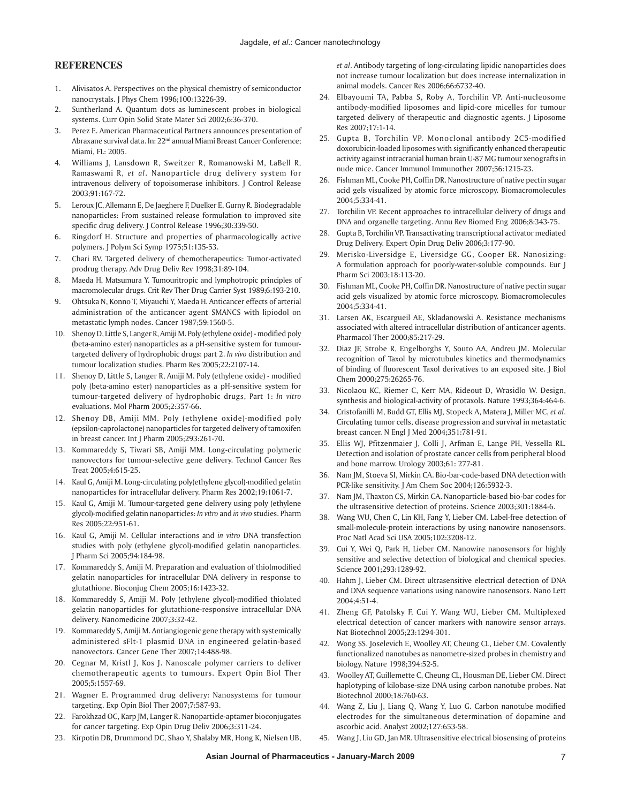## **REFERENCES**

- 1. Alivisatos A. Perspectives on the physical chemistry of semiconductor nanocrystals. J Phys Chem 1996;100:13226-39.
- 2. Suntherland A. Quantum dots as luminescent probes in biological systems. Curr Opin Solid State Mater Sci 2002;6:36-370.
- 3. Perez E. American Pharmaceutical Partners announces presentation of Abraxane survival data. In: 22<sup>nd</sup> annual Miami Breast Cancer Conference; Miami, FL: 2005.
- 4. Williams J, Lansdown R, Sweitzer R, Romanowski M, LaBell R, Ramaswami R, *et al*. Nanoparticle drug delivery system for intravenous delivery of topoisomerase inhibitors. J Control Release 2003;91:167-72.
- 5. Leroux JC, Allemann E, De Jaeghere F, Duelker E, Gurny R. Biodegradable nanoparticles: From sustained release formulation to improved site specific drug delivery. J Control Release 1996;30:339-50.
- 6. Ringdorf H. Structure and properties of pharmacologically active polymers. J Polym Sci Symp 1975;51:135-53.
- 7. Chari RV. Targeted delivery of chemotherapeutics: Tumor-activated prodrug therapy. Adv Drug Deliv Rev 1998;31:89-104.
- 8. Maeda H, Matsumura Y. Tumouritropic and lymphotropic principles of macromolecular drugs. Crit Rev Ther Drug Carrier Syst 1989;6:193-210.
- 9. Ohtsuka N, Konno T, Miyauchi Y, Maeda H. Anticancer effects of arterial administration of the anticancer agent SMANCS with lipiodol on metastatic lymph nodes. Cancer 1987;59:1560-5.
- 10. Shenoy D, Little S, Langer R, Amiji M. Poly (ethylene oxide) modified poly (beta-amino ester) nanoparticles as a pH-sensitive system for tumourtargeted delivery of hydrophobic drugs: part 2. *In vivo* distribution and tumour localization studies. Pharm Res 2005;22:2107-14.
- 11. Shenoy D, Little S, Langer R, Amiji M. Poly (ethylene oxide) modified poly (beta-amino ester) nanoparticles as a pH-sensitive system for tumour-targeted delivery of hydrophobic drugs, Part 1: *In vitro*  evaluations. Mol Pharm 2005;2:357-66.
- 12. Shenoy DB, Amiji MM. Poly (ethylene oxide)-modified poly (epsilon-caprolactone) nanoparticles for targeted delivery of tamoxifen in breast cancer. Int J Pharm 2005;293:261-70.
- 13. Kommareddy S, Tiwari SB, Amiji MM. Long-circulating polymeric nanovectors for tumour-selective gene delivery. Technol Cancer Res Treat 2005;4:615-25.
- 14. Kaul G, Amiji M. Long-circulating poly(ethylene glycol)-modified gelatin nanoparticles for intracellular delivery. Pharm Res 2002;19:1061-7.
- 15. Kaul G, Amiji M. Tumour-targeted gene delivery using poly (ethylene glycol)-modified gelatin nanoparticles: *In vitro* and *in vivo* studies. Pharm Res 2005;22:951-61.
- 16. Kaul G, Amiji M. Cellular interactions and *in vitro* DNA transfection studies with poly (ethylene glycol)-modified gelatin nanoparticles. J Pharm Sci 2005;94:184-98.
- 17. Kommareddy S, Amiji M. Preparation and evaluation of thiolmodified gelatin nanoparticles for intracellular DNA delivery in response to glutathione. Bioconjug Chem 2005;16:1423-32.
- 18. Kommareddy S, Amiji M. Poly (ethylene glycol)-modified thiolated gelatin nanoparticles for glutathione-responsive intracellular DNA delivery. Nanomedicine 2007;3:32-42.
- 19. Kommareddy S, Amiji M. Antiangiogenic gene therapy with systemically administered sFlt-1 plasmid DNA in engineered gelatin-based nanovectors. Cancer Gene Ther 2007;14:488-98.
- 20. Cegnar M, Kristl J, Kos J. Nanoscale polymer carriers to deliver chemotherapeutic agents to tumours. Expert Opin Biol Ther 2005;5:1557-69.
- 21. Wagner E. Programmed drug delivery: Nanosystems for tumour targeting. Exp Opin Biol Ther 2007;7:587-93.
- 22. Farokhzad OC, Karp JM, Langer R. Nanoparticle-aptamer bioconjugates for cancer targeting. Exp Opin Drug Deliv 2006;3:311-24.
- 23. Kirpotin DB, Drummond DC, Shao Y, Shalaby MR, Hong K, Nielsen UB,

*et al*. Antibody targeting of long-circulating lipidic nanoparticles does not increase tumour localization but does increase internalization in animal models. Cancer Res 2006;66:6732-40.

- 24. Elbayoumi TA, Pabba S, Roby A, Torchilin VP. Anti-nucleosome antibody-modified liposomes and lipid-core micelles for tumour targeted delivery of therapeutic and diagnostic agents. J Liposome Res 2007;17:1-14.
- 25. Gupta B, Torchilin VP. Monoclonal antibody 2C5-modified doxorubicin-loaded liposomes with significantly enhanced therapeutic activity against intracranial human brain U-87 MG tumour xenografts in nude mice. Cancer Immunol Immunother 2007;56:1215-23.
- 26. Fishman ML, Cooke PH, Coffin DR. Nanostructure of native pectin sugar acid gels visualized by atomic force microscopy. Biomacromolecules 2004;5:334-41.
- 27. Torchilin VP. Recent approaches to intracellular delivery of drugs and DNA and organelle targeting. Annu Rev Biomed Eng 2006;8:343-75.
- 28. Gupta B, Torchilin VP. Transactivating transcriptional activator mediated Drug Delivery. Expert Opin Drug Deliv 2006;3:177-90.
- 29. Merisko-Liversidge E, Liversidge GG, Cooper ER. Nanosizing: A formulation approach for poorly-water-soluble compounds. Eur J Pharm Sci 2003;18:113-20.
- 30. Fishman ML, Cooke PH, Coffin DR. Nanostructure of native pectin sugar acid gels visualized by atomic force microscopy. Biomacromolecules 2004;5:334-41.
- 31. Larsen AK, Escargueil AE, Skladanowski A. Resistance mechanisms associated with altered intracellular distribution of anticancer agents. Pharmacol Ther 2000;85:217-29.
- 32. Diaz JF, Strobe R, Engelborghs Y, Souto AA, Andreu JM. Molecular recognition of Taxol by microtubules kinetics and thermodynamics of binding of fluorescent Taxol derivatives to an exposed site. J Biol Chem 2000;275:26265-76.
- 33. Nicolaou KC, Riemer C, Kerr MA, Rideout D, Wrasidlo W. Design, synthesis and biological-activity of protaxols. Nature 1993;364:464-6.
- 34. Cristofanilli M, Budd GT, Ellis MJ, Stopeck A, Matera J, Miller MC, *et al*. Circulating tumor cells, disease progression and survival in metastatic breast cancer. N Engl J Med 2004;351:781-91.
- 35. Ellis WJ, Pfitzenmaier J, Colli J, Arfman E, Lange PH, Vessella RL. Detection and isolation of prostate cancer cells from peripheral blood and bone marrow. Urology 2003;61: 277-81.
- 36. Nam JM, Stoeva SI, Mirkin CA. Bio-bar-code-based DNA detection with PCR-like sensitivity. J Am Chem Soc 2004;126:5932-3.
- 37. Nam JM, Thaxton CS, Mirkin CA. Nanoparticle-based bio-bar codes for the ultrasensitive detection of proteins. Science 2003;301:1884-6.
- 38. Wang WU, Chen C, Lin KH, Fang Y, Lieber CM. Label-free detection of small-molecule-protein interactions by using nanowire nanosensors. Proc Natl Acad Sci USA 2005;102:3208-12.
- 39. Cui Y, Wei Q, Park H, Lieber CM. Nanowire nanosensors for highly sensitive and selective detection of biological and chemical species. Science 2001;293:1289-92.
- 40. Hahm J, Lieber CM. Direct ultrasensitive electrical detection of DNA and DNA sequence variations using nanowire nanosensors. Nano Lett 2004;4:51-4.
- 41. Zheng GF, Patolsky F, Cui Y, Wang WU, Lieber CM. Multiplexed electrical detection of cancer markers with nanowire sensor arrays. Nat Biotechnol 2005;23:1294-301.
- 42. Wong SS, Joselevich E, Woolley AT, Cheung CL, Lieber CM. Covalently functionalized nanotubes as nanometre-sized probes in chemistry and biology. Nature 1998;394:52-5.
- 43. Woolley AT, Guillemette C, Cheung CL, Housman DE, Lieber CM. Direct haplotyping of kilobase-size DNA using carbon nanotube probes. Nat Biotechnol 2000;18:760-63.
- 44. Wang Z, Liu J, Liang Q, Wang Y, Luo G. Carbon nanotube modified electrodes for the simultaneous determination of dopamine and ascorbic acid. Analyst 2002;127:653-58.
- 45. Wang J, Liu GD, Jan MR. Ultrasensitive electrical biosensing of proteins